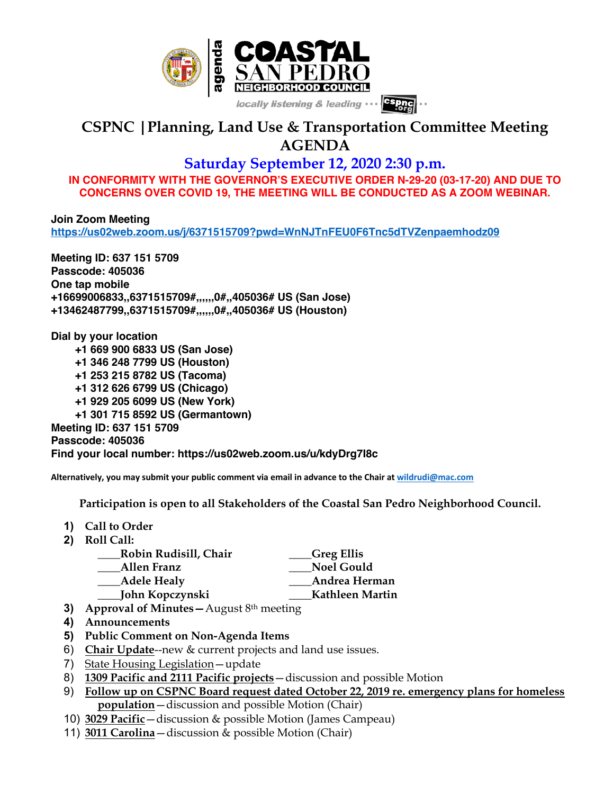

## **CSPNC |Planning, Land Use & Transportation Committee Meeting AGENDA**

## **Saturday September 12, 2020 2:30 p.m.**

**IN CONFORMITY WITH THE GOVERNOR'S EXECUTIVE ORDER N-29-20 (03-17-20) AND DUE TO CONCERNS OVER COVID 19, THE MEETING WILL BE CONDUCTED AS A ZOOM WEBINAR.**

**Join Zoom Meeting https://us02web.zoom.us/j/6371515709?pwd=WnNJTnFEU0F6Tnc5dTVZenpaemhodz09**

**Meeting ID: 637 151 5709 Passcode: 405036 One tap mobile +16699006833,,6371515709#,,,,,,0#,,405036# US (San Jose) +13462487799,,6371515709#,,,,,,0#,,405036# US (Houston)**

**Dial by your location +1 669 900 6833 US (San Jose) +1 346 248 7799 US (Houston) +1 253 215 8782 US (Tacoma) +1 312 626 6799 US (Chicago) +1 929 205 6099 US (New York) +1 301 715 8592 US (Germantown) Meeting ID: 637 151 5709 Passcode: 405036 Find your local number: https://us02web.zoom.us/u/kdyDrg7I8c**

**Alternatively, you may submit your public comment via email in advance to the Chair at wildrudi@mac.com**

 **Participation is open to all Stakeholders of the Coastal San Pedro Neighborhood Council.**

- **1) Call to Order**
- **2) Roll Call:**

| Robin Rudisill, Chair | Greg Ellis]       |
|-----------------------|-------------------|
| Allen Franz           | <b>Noel Gould</b> |
| Adele Healy           | Andrea Herman     |
| John Kopczynski       | Kathleen Martin   |
|                       |                   |

- **3) Approval of Minutes—**August 8th meeting
- **4) Announcements**
- **5) Public Comment on Non-Agenda Items**
- 6) **Chair Update**--new & current projects and land use issues.
- 7) State Housing Legislation—update
- 8) **1309 Pacific and 2111 Pacific projects**—discussion and possible Motion
- 9) **Follow up on CSPNC Board request dated October 22, 2019 re. emergency plans for homeless population**—discussion and possible Motion (Chair)
- 10) **3029 Pacific**—discussion & possible Motion (James Campeau)
- 11) **3011 Carolina**—discussion & possible Motion (Chair)